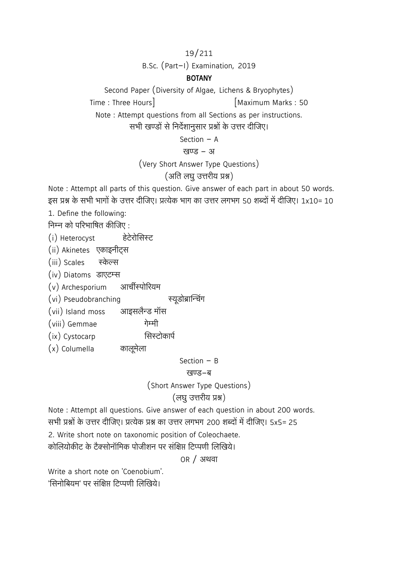19/211

B.Sc. (Part-I) Examination, 2019

### **BOTANY**

Second Paper (Diversity of Algae, Lichens & Bryophytes)

Time : Three Hours | Time : Three Hours | Time : Three Hours | Time : SO

Note : Attempt questions from all Sections as per instructions.

सभी खण्डों से निर्देशानुसार प्रश्नों के उत्तर दीजिए।

Section 
$$
-
$$
 A

#### खण्ड - अ

(Very Short Answer Type Questions)

## $(3$  ति लघु उत्तरीय प्रश्न)

Note : Attempt all parts of this question. Give answer of each part in about 50 words. इस प्रश्न के सभी भागों के उत्तर दीजिए। प्रत्येक भाग का उत्तर लगभग 50 शब्दों में दीजिए। 1x10= 10

1. Define the following:

निम्न को परिभाषित कीजिए :

(i) Heterocyst हेटेरोजिसस्ट

(ii) Akinetes एकाइनीट्स

(iii) Scales स्केल्स

(iv) Diatoms डाएटम्स

(v) Archesporium आर्चीस्पोरियम

(vi) Pseudobranching स्यूडोब्रान्चिंग

(vii) Island moss आइसलैन्ड मॉस

- (viii) Gemmae गेम्मी
- (ix) Cystocarp त्रिस्टोकार्प
- (x) Columella कालूमेला

### Section  $-$  B

### खण्ड-ब

(Short Answer Type Questions)

## (लघु उत्तरीय प्रश्न)

Note : Attempt all questions. Give answer of each question in about 200 words. सभी प्रश्नों के उत्तर दीजिए। प्रत्येक प्रश्न का उत्तर लगभग 200 शब्दों में दीजिए। 5x5= 25

2. Write short note on taxonomic position of Coleochaete.

कोलियोकीट के टैक्सोनॉमिक पोजीशन पर संक्षिप्त टिप्पणी लिखिये।

OR / अथवा

Write a short note on 'Coenobium'. 'सिनोबियम' पर संक्षिप्त टिप्पणी लिखिये।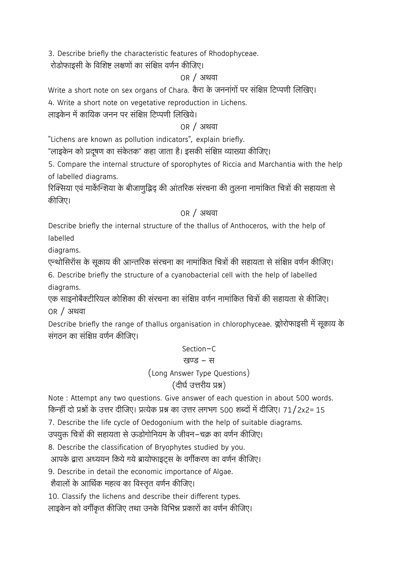3. Describe briefly the characteristic features of Rhodophyceae.

रोडोफाइसी के विशिष्ट लक्षणों का संक्षिप्त वर्णन कीजिए।

## OR / अथवा

Write a short note on sex organs of Chara. कैरा के जननांगों पर संक्षिप्त टिप्पणी लिखिए।

4. Write a short note on vegetative reproduction in Lichens.

लाइकेन में कायिक जनन पर संक्षिप्त टिप्पणी लिखिये।

### OR / अथवा

"Lichens are known as pollution indicators", explain briefly.

"लाइकेन को प्रदूषण का संकेतक" कहा जाता है। इसकी संक्षिप्त व्याख्या कीजिए।

5. Compare the internal structure of sporophytes of Riccia and Marchantia with the help of labelled diagrams.

रिक्सिया एवं मार्केन्शिया के बीजाणुद्भिद् की आंतरिक संरचना की तुलना नामांकित चित्रों की सहायता से कीजिए।

## OR / अथवा

Describe briefly the internal structure of the thallus of Anthoceros, with the help of labelled

diagrams.

एन्थोसिरॉस के सूकाय की आन्तरिक संरचना का नामांकित चित्रों की सहायता से संक्षिप्त वर्णन कीजिए।

6. Describe briefly the structure of a cyanobacterial cell with the help of labelled diagrams.

एक साइनोबैक्टीरियल कोशिका की संरचना का संक्षिप्त वर्णन नामांकित चित्रों की सहायता से कीजिए। OR / अथवा

Describe briefly the range of thallus organisation in chlorophyceae. क्लोरोफाइसी में सूकाय के संगतन का संक्षिप्त वर्णन कीजिए।

## Section-C

## खण्ड - स

(Long Answer Type Questions)

# (दीर्घ उत्तरीय प्रश्न)

Note : Attempt any two questions. Give answer of each question in about 500 words. किन्हीं दो प्रश्नों के उत्तर दीजिए। प्रत्येक प्रश्न का उत्तर लगभग 500 शब्दों में दीजिए। 71/2x2= 15

7. Describe the life cycle of Oedogonium with the help of suitable diagrams.

उपयुक्त चित्रों की सहायता से ऊडोगोनियम के जीवन–चक्र का वर्णन कीजिए।

8. Describe the classification of Bryophytes studied by you.

आपके द्वारा अध्ययन किये गये ब्रायोफाइट्स के वर्गीकरण का वर्णन कीजिए।

9. Describe in detail the economic importance of Algae.

शैवालों के आर्थिक महत्व का विस्तृत वर्णन कीजिए।

10. Classify the lichens and describe their different types.

लाइकेन को वर्गीकृत कीजिए तथा उनके विभिन्न प्रकारों का वर्णन कीजिए।